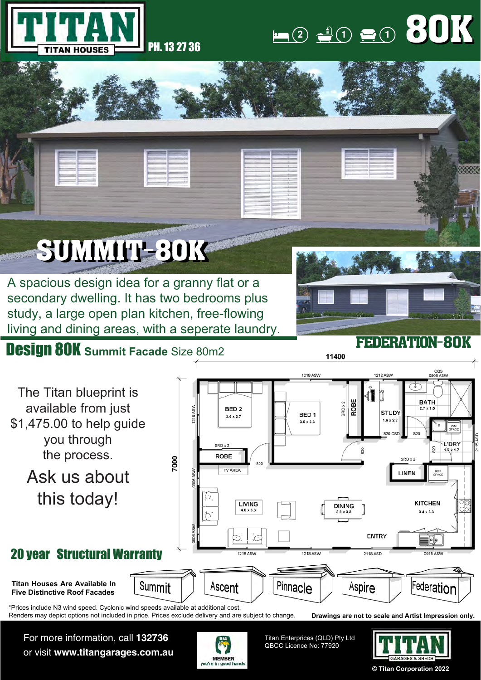

## $(1)$  **1 1 1 1** 80K 80K

# SUMMIT-30K

A spacious design idea for a granny flat or a secondary dwelling. It has two bedrooms plus study, a large open plan kitchen, free-flowing living and dining areas, with a seperate laundry.

### Design 80K **Summit Facade** Size 80m2



11400

#### **1218 ASW** 1212 ASW The Titan blueprint is 41 D ROBE **BATH**  $3RD \times 2$ available from just BED<sub>2</sub> STUDY BED<sub>1</sub>  $3.0 \times 2.7$ \$1,475.00 to help guide  $1.6 \times 2.2$  $3.0 \times 3.3$  $820$ you through L'DRY SRD x 2  $\frac{8}{20}$  $\overline{5}$  $1.6 \times 1.7$ the process. **ROBE** 7000 SRD v 2 TV AREA Ask us about REF<br>SPACE LINEN this today! **KITCHEN LIVING DINING**  $3.4 \times 3.3$ **ENTRY** 20 year Structural Warranty 1218 ASV 2118 ASD Pinnacle **Titan Houses Are Available In** Summit Aspire Federatior Ascent **Five Distinctive Roof Facades** \*Prices include N3 wind speed. Cyclonic wind speeds available at additional cost. Renders may depict options not included in price. Prices exclude delivery and are subject to change.**Drawings are not to scale and Artist Impression only.**

For more information, call **132736** or visit **www.titangarages.com.au**



Titan Enterprices (QLD) Pty Ltd QBCC Licence No: 77920



**© Titan Corporation 2022**